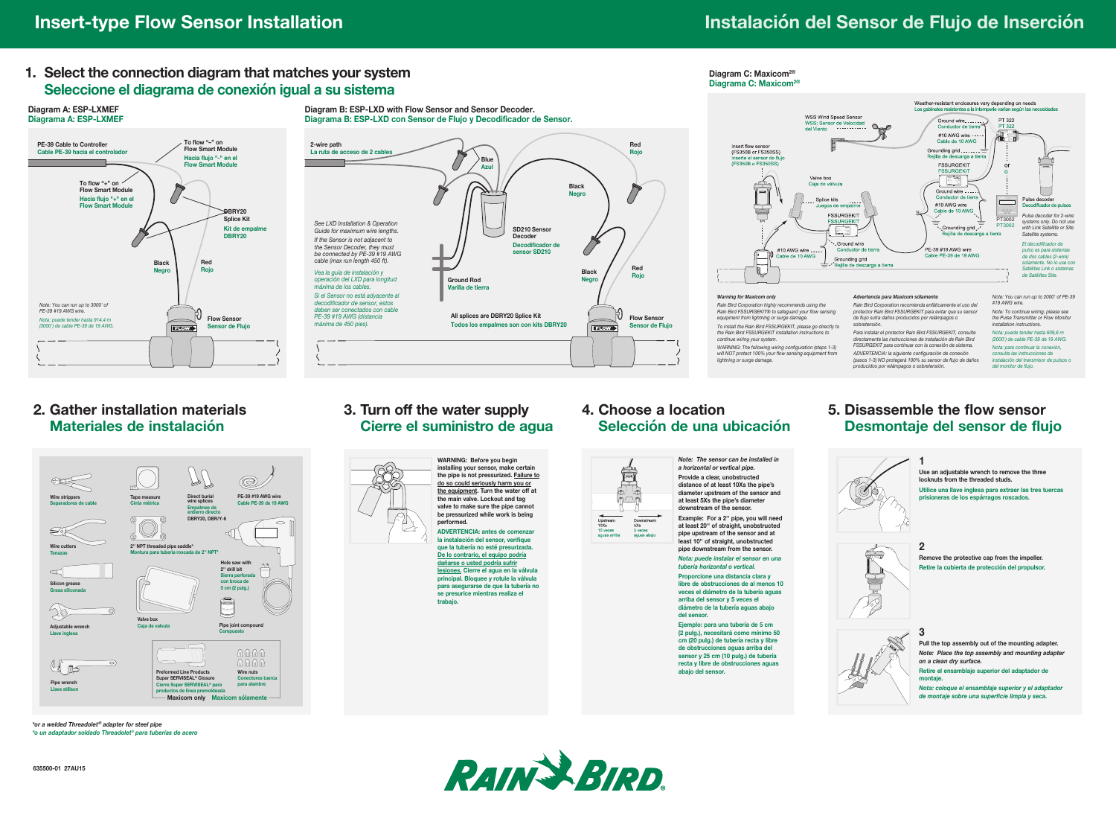#### **1. Select the connection diagram that matches your system Seleccione el diagrama de conexión igual a su sistema**



**Diagram B: ESP-LXD with Flow Sensor and Sensor Decoder. Diagrama B: ESP-LXD con Sensor de Flujo y Decodificador de Sensor. 2-wire path Red** La ruta de acceso de 2 cable **Rojo**  $\overline{U}$ **Blue Azul Black**  $\sum$ **Negro** *See LXD Installation & Operation*  **SD210 Sensor**  *Guide for maximum wire lengths.* **Decoder** *If the Sensor is not adjacent to*  **Decodificador de**  Û *the Sensor Decoder, they must*  **sensor SD210** *be connected by PE-39 #19 AWG cable (max run length 450 ft).* **Red Black** *Vea la guía de instalación y*  **Rojo** *operación del LXD para longitud*  **Ground Rod Negro** *máxima de los cables.* **Varilla de tierra** *Si el Sensor no está adyacente al decodificador de sensor, estos deben ser conectados con cable*  **All splices are DBRY20 Splice Kit** *PE-39 #19 AWG (distancia*  **Flow Sensor** *máxima de 450 pies).* **Todos los empalmes son con kits DBRY20 FLOW Sensor de Flujo**



*ADVERTENCIA: la siguiente configuración de conexión (pasos 1-3) NO protegerá 100% su sensor de flujo de daños producidos por relámpagos o sobretensión.*

#### **2. Gather installation materials Materiales de instalación**



### **3. Turn off the water supply Cierre el suministro de agua**



**the pipe is not pressurized. Failure to do so could seriously harm you or the equipment. Turn the water off at the main valve. Lockout and tag valve to make sure the pipe cannot be pressurized while work is being**

**la instalación del sensor, verifique que la tubería no esté presurizada. De lo contrario, el equipo podría lesiones. Cierre el agua en la válvula principal. Bloquee y rotule la válvula para asegurarse de que la tubería no se presurice mientras realiza el trabajo.**

# **4. Choose a location**



*a horizontal or vertical pipe.* **Provide a clear, unobstructed distance of at least 10Xs the pipe's diameter upstream of the sensor and at least 5Xs the pipe's diameter downstream of the sensor. Example: For a 2'' pipe, you will need at least 20'' of straight, unobstructed pipe upstream of the sensor and at least 10'' of straight, unobstructed pipe downstream from the sensor.**

*Nota: puede instalar el sensor en una tubería horizontal o vertical.* **Proporcione una distancia clara y libre de obstrucciones de al menos 10**

*Note: The sensor can be installed in* 

*WARNING: The following wiring configuration (steps 1-3) will NOT protect 100% your flow sensing equipment from* 

*lightning or surge damage.*

**Diagram C: Maxicom2®**

**veces el diámetro de la tubería aguas arriba del sensor y 5 veces el diámetro de la tubería aguas abajo del sensor. Ejemplo: para una tubería de 5 cm** 

**(2 pulg.), necesitará como mínimo 50 cm (20 pulg.) de tubería recta y libre de obstructions** and deligned and deligned **sensor y 25 cm (10 pulg.) de tubería recta y libre de obstrucciones aguas abajo del sensor.**

## **5. Disassemble the flow sensor**

**1**

## **Desmontaje del sensor de flujo**



**2 Remove the protective cap from the impeller. Retire la cubierta de protección del propulsor.**

**Use an adjustable wrench to remove the three locknuts from the threaded studs.**

**Utilice una llave inglesa para extraer las tres tuercas prisioneras de los espárragos roscados.**

*consulte las instrucciones de instalación del transmisor de pulsos o del monitor de flujo.*



**3 Pull the top assembly out of the mounting adapter.** *Note: Place the top assembly and mounting adapter on a clean dry surface.* **Retire el ensamblaje superior del adaptador de**

**montaje.** *Nota: coloque el ensamblaje superior y el adaptador de montaje sobre una superficie limpia y seca.*







# **Selección de una ubicación**